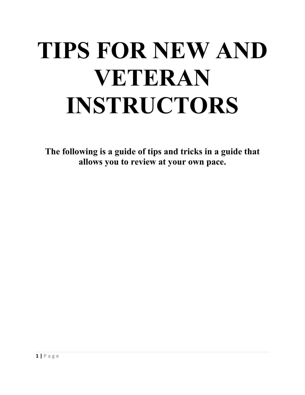# **TIPS FOR NEW AND VETERAN INSTRUCTORS**

**The following is a guide of tips and tricks in a guide that allows you to review at your own pace.**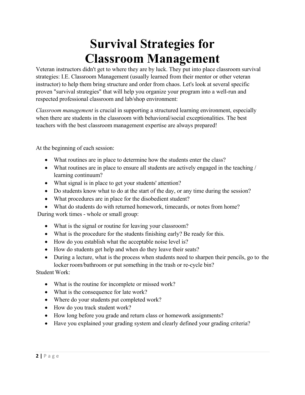# **Survival Strategies for Classroom Management**

Veteran instructors didn't get to where they are by luck. They put into place classroom survival strategies: I.E. Classroom Management (usually learned from their mentor or other veteran instructor) to help them bring structure and order from chaos. Let's look at several specific proven "survival strategies" that will help you organize your program into a well-run and respected professional classroom and lab/shop environment:

*Classroom management* is crucial in supporting a structured learning environment, especially when there are students in the classroom with behavioral/social exceptionalities. The best teachers with the best classroom management expertise are always prepared!

At the beginning of each session:

- What routines are in place to determine how the students enter the class?
- What routines are in place to ensure all students are actively engaged in the teaching / learning continuum?
- What signal is in place to get your students' attention?
- Do students know what to do at the start of the day, or any time during the session?
- What procedures are in place for the disobedient student?
- What do students do with returned homework, timecards, or notes from home?

During work times - whole or small group:

- What is the signal or routine for leaving your classroom?
- What is the procedure for the students finishing early? Be ready for this.
- How do you establish what the acceptable noise level is?
- How do students get help and when do they leave their seats?
- During a lecture, what is the process when students need to sharpen their pencils, go to the locker room/bathroom or put something in the trash or re-cycle bin?

Student Work:

- What is the routine for incomplete or missed work?
- What is the consequence for late work?
- Where do your students put completed work?
- How do you track student work?
- How long before you grade and return class or homework assignments?
- Have you explained your grading system and clearly defined your grading criteria?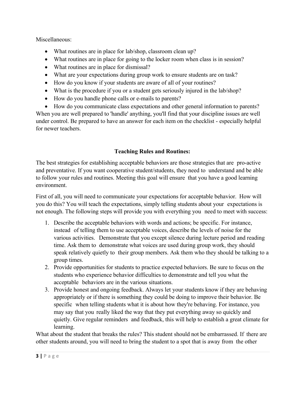Miscellaneous:

- What routines are in place for lab/shop, classroom clean up?
- What routines are in place for going to the locker room when class is in session?
- What routines are in place for dismissal?
- What are your expectations during group work to ensure students are on task?
- How do you know if your students are aware of all of your routines?
- What is the procedure if you or a student gets seriously injured in the lab/shop?
- How do you handle phone calls or e-mails to parents?

 How do you communicate class expectations and other general information to parents? When you are well prepared to 'handle' anything, you'll find that your discipline issues are well under control. Be prepared to have an answer for each item on the checklist - especially helpful for newer teachers.

# **Teaching Rules and Routines:**

The best strategies for establishing acceptable behaviors are those strategies that are pro-active and preventative. If you want cooperative student/students, they need to understand and be able to follow your rules and routines. Meeting this goal will ensure that you have a good learning environment.

First of all, you will need to communicate your expectations for acceptable behavior. How will you do this? You will teach the expectations, simply telling students about your expectations is not enough. The following steps will provide you with everything you need to meet with success:

- 1. Describe the acceptable behaviors with words and actions; be specific. For instance, instead of telling them to use acceptable voices, describe the levels of noise for the various activities. Demonstrate that you except silence during lecture period and reading time. Ask them to demonstrate what voices are used during group work, they should speak relatively quietly to their group members. Ask them who they should be talking to a group times.
- 2. Provide opportunities for students to practice expected behaviors. Be sure to focus on the students who experience behavior difficulties to demonstrate and tell you what the acceptable behaviors are in the various situations.
- 3. Provide honest and ongoing feedback. Always let your students know if they are behaving appropriately or if there is something they could be doing to improve their behavior. Be specific when telling students what it is about how they're behaving. For instance, you may say that you really liked the way that they put everything away so quickly and quietly. Give regular reminders and feedback, this will help to establish a great climate for learning.

What about the student that breaks the rules? This student should not be embarrassed. If there are other students around, you will need to bring the student to a spot that is away from the other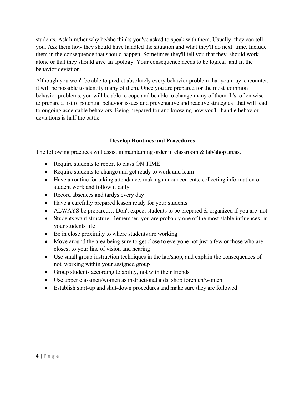students. Ask him/her why he/she thinks you've asked to speak with them. Usually they can tell you. Ask them how they should have handled the situation and what they'll do next time. Include them in the consequence that should happen. Sometimes they'll tell you that they should work alone or that they should give an apology. Your consequence needs to be logical and fit the behavior deviation.

Although you won't be able to predict absolutely every behavior problem that you may encounter, it will be possible to identify many of them. Once you are prepared for the most common behavior problems, you will be able to cope and be able to change many of them. It's often wise to prepare a list of potential behavior issues and preventative and reactive strategies that will lead to ongoing acceptable behaviors. Being prepared for and knowing how you'll handle behavior deviations is half the battle.

# **Develop Routines and Procedures**

The following practices will assist in maintaining order in classroom & lab/shop areas.

- Require students to report to class ON TIME
- Require students to change and get ready to work and learn
- Have a routine for taking attendance, making announcements, collecting information or student work and follow it daily
- Record absences and tardys every day
- Have a carefully prepared lesson ready for your students
- ALWAYS be prepared... Don't expect students to be prepared & organized if you are not
- Students want structure. Remember, you are probably one of the most stable influences in your students life
- Be in close proximity to where students are working
- Move around the area being sure to get close to everyone not just a few or those who are closest to your line of vision and hearing
- Use small group instruction techniques in the lab/shop, and explain the consequences of not working within your assigned group
- Group students according to ability, not with their friends
- Use upper classmen/women as instructional aids, shop foremen/women
- Establish start-up and shut-down procedures and make sure they are followed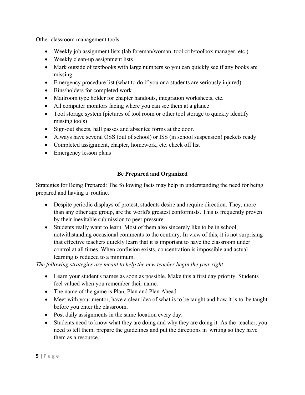Other classroom management tools:

- Weekly job assignment lists (lab foreman/woman, tool crib/toolbox manager, etc.)
- Weekly clean-up assignment lists
- Mark outside of textbooks with large numbers so you can quickly see if any books are missing
- Emergency procedure list (what to do if you or a students are seriously injured)
- Bins/holders for completed work
- Mailroom type holder for chapter handouts, integration worksheets, etc.
- All computer monitors facing where you can see them at a glance
- Tool storage system (pictures of tool room or other tool storage to quickly identify missing tools)
- Sign-out sheets, hall passes and absentee forms at the door.
- Always have several OSS (out of school) or ISS (in school suspension) packets ready
- Completed assignment, chapter, homework, etc. check off list
- Emergency lesson plans

# **Be Prepared and Organized**

Strategies for Being Prepared: The following facts may help in understanding the need for being prepared and having a routine.

- Despite periodic displays of protest, students desire and require direction. They, more than any other age group, are the world's greatest conformists. This is frequently proven by their inevitable submission to peer pressure.
- Students really want to learn. Most of them also sincerely like to be in school, notwithstanding occasional comments to the contrary. In view of this, it is not surprising that effective teachers quickly learn that it is important to have the classroom under control at all times. When confusion exists, concentration is impossible and actual learning is reduced to a minimum.

*The following strategies are meant to help the new teacher begin the year right* 

- Learn your student's names as soon as possible. Make this a first day priority. Students feel valued when you remember their name.
- The name of the game is Plan, Plan and Plan Ahead
- Meet with your mentor, have a clear idea of what is to be taught and how it is to be taught before you enter the classroom.
- Post daily assignments in the same location every day.
- Students need to know what they are doing and why they are doing it. As the teacher, you need to tell them, prepare the guidelines and put the directions in writing so they have them as a resource.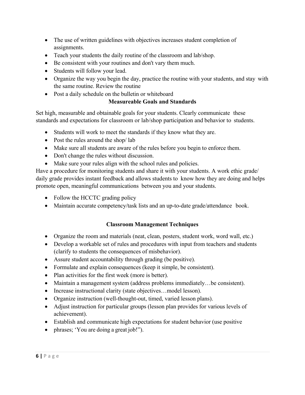- The use of written guidelines with objectives increases student completion of assignments.
- Teach your students the daily routine of the classroom and lab/shop.
- Be consistent with your routines and don't vary them much.
- Students will follow your lead.
- Organize the way you begin the day, practice the routine with your students, and stay with the same routine. Review the routine
- Post a daily schedule on the bulletin or whiteboard

# **Measureable Goals and Standards**

Set high, measurable and obtainable goals for your students. Clearly communicate these standards and expectations for classroom or lab/shop participation and behavior to students.

- Students will work to meet the standards if they know what they are.
- Post the rules around the shop/lab
- Make sure all students are aware of the rules before you begin to enforce them.
- Don't change the rules without discussion.
- Make sure your rules align with the school rules and policies.

Have a procedure for monitoring students and share it with your students. A work ethic grade/ daily grade provides instant feedback and allows students to know how they are doing and helps promote open, meaningful communications between you and your students.

- Follow the HCCTC grading policy
- Maintain accurate competency/task lists and an up-to-date grade/attendance book.

# **Classroom Management Techniques**

- Organize the room and materials (neat, clean, posters, student work, word wall, etc.)
- Develop a workable set of rules and procedures with input from teachers and students (clarify to students the consequences of misbehavior).
- Assure student accountability through grading (be positive).
- Formulate and explain consequences (keep it simple, be consistent).
- Plan activities for the first week (more is better).
- Maintain a management system (address problems immediately…be consistent).
- Increase instructional clarity (state objectives...model lesson).
- Organize instruction (well-thought-out, timed, varied lesson plans).
- Adjust instruction for particular groups (lesson plan provides for various levels of achievement).
- Establish and communicate high expectations for student behavior (use positive
- phrases; 'You are doing a great job!").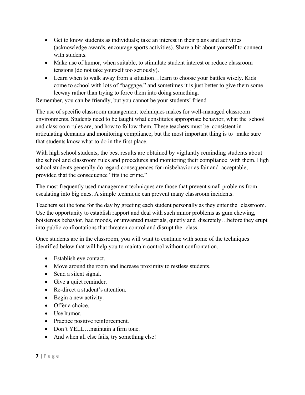- Get to know students as individuals; take an interest in their plans and activities (acknowledge awards, encourage sports activities). Share a bit about yourself to connect with students.
- Make use of humor, when suitable, to stimulate student interest or reduce classroom tensions (do not take yourself too seriously).
- Learn when to walk away from a situation…learn to choose your battles wisely. Kids come to school with lots of "baggage," and sometimes it is just better to give them some leeway rather than trying to force them into doing something.

Remember, you can be friendly, but you cannot be your students' friend

The use of specific classroom management techniques makes for well-managed classroom environments. Students need to be taught what constitutes appropriate behavior, what the school and classroom rules are, and how to follow them. These teachers must be consistent in articulating demands and monitoring compliance, but the most important thing is to make sure that students know what to do in the first place.

With high school students, the best results are obtained by vigilantly reminding students about the school and classroom rules and procedures and monitoring their compliance with them. High school students generally do regard consequences for misbehavior as fair and acceptable, provided that the consequence "fits the crime."

The most frequently used management techniques are those that prevent small problems from escalating into big ones. A simple technique can prevent many classroom incidents.

Teachers set the tone for the day by greeting each student personally as they enter the classroom. Use the opportunity to establish rapport and deal with such minor problems as gum chewing, boisterous behavior, bad moods, or unwanted materials, quietly and discretely…before they erupt into public confrontations that threaten control and disrupt the class.

Once students are in the classroom, you will want to continue with some of the techniques identified below that will help you to maintain control without confrontation.

- Establish eye contact.
- Move around the room and increase proximity to restless students.
- Send a silent signal.
- Give a quiet reminder.
- Re-direct a student's attention.
- Begin a new activity.
- Offer a choice.
- Use humor.
- Practice positive reinforcement.
- Don't YELL...maintain a firm tone.
- And when all else fails, try something else!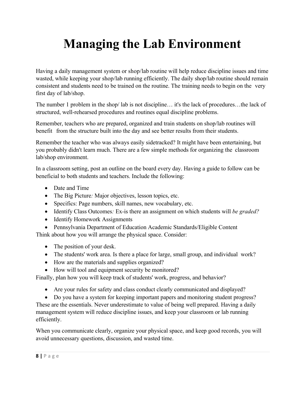# **Managing the Lab Environment**

Having a daily management system or shop/lab routine will help reduce discipline issues and time wasted, while keeping your shop/lab running efficiently. The daily shop/lab routine should remain consistent and students need to be trained on the routine. The training needs to begin on the very first day of lab/shop.

The number 1 problem in the shop/ lab is not discipline… it's the lack of procedures…the lack of structured, well-rehearsed procedures and routines equal discipline problems.

Remember, teachers who are prepared, organized and train students on shop/lab routines will benefit from the structure built into the day and see better results from their students.

Remember the teacher who was always easily sidetracked? It might have been entertaining, but you probably didn't learn much. There are a few simple methods for organizing the classroom lab/shop environment.

In a classroom setting, post an outline on the board every day. Having a guide to follow can be beneficial to both students and teachers. Include the following:

- Date and Time
- The Big Picture*:* Major objectives, lesson topics, etc.
- Specifics: Page numbers, skill names, new vocabulary, etc.
- Identify Class Outcomes*:* Ex-is there an assignment on which students will *be graded?*
- Identify Homework Assignments
- Pennsylvania Department of Education Academic Standards/Eligible Content

Think about how you will arrange the physical space. Consider:

- The position of your desk.
- The students' work area. Is there a place for large, small group, and individual work?
- How are the materials and supplies organized?
- How will tool and equipment security be monitored?

Finally, plan how you will keep track of students' work, progress, and behavior?

- Are your rules for safety and class conduct clearly communicated and displayed?
- Do you have a system for keeping important papers and monitoring student progress?

These are the essentials. Never underestimate to value of being well prepared. Having a daily management system will reduce discipline issues, and keep your classroom or lab running efficiently.

When you communicate clearly, organize your physical space, and keep good records, you will avoid unnecessary questions, discussion, and wasted time.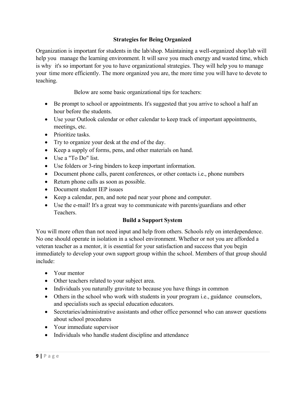# **Strategies for Being Organized**

Organization is important for students in the lab/shop. Maintaining a well-organized shop/lab will help you manage the learning environment. It will save you much energy and wasted time, which is why it's so important for you to have organizational strategies. They will help you to manage your time more efficiently. The more organized you are, the more time you will have to devote to teaching.

Below are some basic organizational tips for teachers:

- Be prompt to school or appointments. It's suggested that you arrive to school a half an hour before the students.
- Use your Outlook calendar or other calendar to keep track of important appointments, meetings, etc.
- Prioritize tasks.
- Try to organize your desk at the end of the day.
- Keep a supply of forms, pens, and other materials on hand.
- Use a "To Do" list.
- Use folders or 3-ring binders to keep important information.
- Document phone calls, parent conferences, or other contacts i.e., phone numbers
- Return phone calls as soon as possible.
- Document student IEP issues
- Keep a calendar, pen, and note pad near your phone and computer.
- Use the e-mail! It's a great way to communicate with parents/guardians and other Teachers.

# **Build a Support System**

You will more often than not need input and help from others. Schools rely on interdependence. No one should operate in isolation in a school environment. Whether or not you are afforded a veteran teacher as a mentor, it is essential for your satisfaction and success that you begin immediately to develop your own support group within the school. Members of that group should include:

- Your mentor
- Other teachers related to your subject area.
- Individuals you naturally gravitate to because you have things in common
- Others in the school who work with students in your program i.e., guidance counselors, and specialists such as special education educators.
- Secretaries/administrative assistants and other office personnel who can answer questions about school procedures
- Your immediate supervisor
- Individuals who handle student discipline and attendance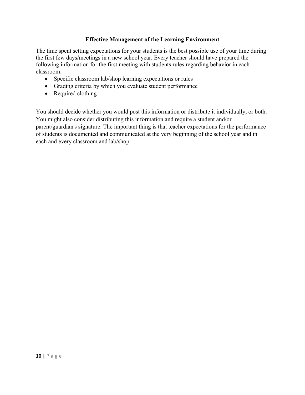# **Effective Management of the Learning Environment**

The time spent setting expectations for your students is the best possible use of your time during the first few days/meetings in a new school year. Every teacher should have prepared the following information for the first meeting with students rules regarding behavior in each classroom:

- Specific classroom lab/shop learning expectations or rules
- Grading criteria by which you evaluate student performance
- Required clothing

You should decide whether you would post this information or distribute it individually, or both. You might also consider distributing this information and require a student and/or parent/guardian's signature. The important thing is that teacher expectations for the performance of students is documented and communicated at the very beginning of the school year and in each and every classroom and lab/shop.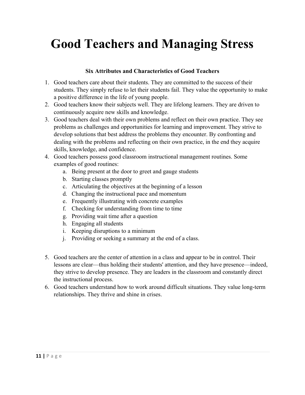# **Good Teachers and Managing Stress**

# **Six Attributes and Characteristics of Good Teachers**

- 1. Good teachers care about their students. They are committed to the success of their students. They simply refuse to let their students fail. They value the opportunity to make a positive difference in the life of young people.
- 2. Good teachers know their subjects well. They are lifelong learners. They are driven to continuously acquire new skills and knowledge.
- 3. Good teachers deal with their own problems and reflect on their own practice. They see problems as challenges and opportunities for learning and improvement. They strive to develop solutions that best address the problems they encounter. By confronting and dealing with the problems and reflecting on their own practice, in the end they acquire skills, knowledge, and confidence.
- 4. Good teachers possess good classroom instructional management routines. Some examples of good routines:
	- a. Being present at the door to greet and gauge students
	- b. Starting classes promptly
	- c. Articulating the objectives at the beginning of a lesson
	- d. Changing the instructional pace and momentum
	- e. Frequently illustrating with concrete examples
	- f. Checking for understanding from time to time
	- g. Providing wait time after a question
	- h. Engaging all students
	- i. Keeping disruptions to a minimum
	- j. Providing or seeking a summary at the end of a class.
- 5. Good teachers are the center of attention in a class and appear to be in control. Their lessons are clear—thus holding their students' attention, and they have presence—indeed, they strive to develop presence. They are leaders in the classroom and constantly direct the instructional process.
- 6. Good teachers understand how to work around difficult situations. They value long-term relationships. They thrive and shine in crises.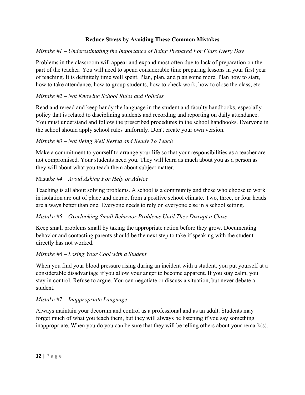# **Reduce Stress by Avoiding These Common Mistakes**

# *Mistake #1 – Underestimating the Importance of Being Prepared For Class Every Day*

Problems in the classroom will appear and expand most often due to lack of preparation on the part of the teacher. You will need to spend considerable time preparing lessons in your first year of teaching. It is definitely time well spent. Plan, plan, and plan some more. Plan how to start, how to take attendance, how to group students, how to check work, how to close the class, etc.

# *Mistake #2 – Not Knowing School Rules and Policies*

Read and reread and keep handy the language in the student and faculty handbooks, especially policy that is related to disciplining students and recording and reporting on daily attendance. You must understand and follow the prescribed procedures in the school handbooks. Everyone in the school should apply school rules uniformly. Don't create your own version.

# *Mistake #3 – Not Being Well Rested and Ready To Teach*

Make a commitment to yourself to arrange your life so that your responsibilities as a teacher are not compromised. Your students need you. They will learn as much about you as a person as they will about what you teach them about subject matter.

#### Mista*ke #4 – Avoid Asking For Help or Advice*

Teaching is all about solving problems. A school is a community and those who choose to work in isolation are out of place and detract from a positive school climate. Two, three, or four heads are always better than one. Everyone needs to rely on everyone else in a school setting.

#### *Mistake #5 – Overlooking Small Behavior Problems Until They Disrupt a Class*

Keep small problems small by taking the appropriate action before they grow. Documenting behavior and contacting parents should be the next step to take if speaking with the student directly has not worked.

#### *Mistake #6 – Losing Your Cool with a Student*

When you find your blood pressure rising during an incident with a student, you put yourself at a considerable disadvantage if you allow your anger to become apparent. If you stay calm, you stay in control. Refuse to argue. You can negotiate or discuss a situation, but never debate a student.

#### *Mistake #7 – Inappropriate Language*

Always maintain your decorum and control as a professional and as an adult. Students may forget much of what you teach them, but they will always be listening if you say something inappropriate. When you do you can be sure that they will be telling others about your remark(s).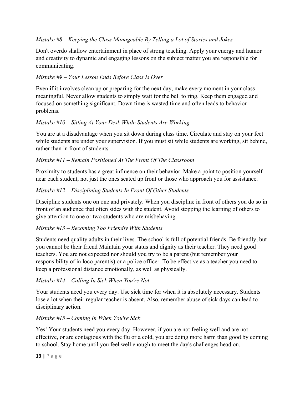# *Mistake #8 – Keeping the Class Manageable By Telling a Lot of Stories and Jokes*

Don't overdo shallow entertainment in place of strong teaching. Apply your energy and humor and creativity to dynamic and engaging lessons on the subject matter you are responsible for communicating.

# *Mistake #9 – Your Lesson Ends Before Class Is Over*

Even if it involves clean up or preparing for the next day, make every moment in your class meaningful. Never allow students to simply wait for the bell to ring. Keep them engaged and focused on something significant. Down time is wasted time and often leads to behavior problems.

# *Mistake #10 – Sitting At Your Desk While Students Are Working*

You are at a disadvantage when you sit down during class time. Circulate and stay on your feet while students are under your supervision. If you must sit while students are working, sit behind, rather than in front of students.

# *Mistake #11 – Remain Positioned At The Front Of The Classroom*

Proximity to students has a great influence on their behavior. Make a point to position yourself near each student, not just the ones seated up front or those who approach you for assistance.

# *Mistake #12 – Disciplining Students In Front Of Other Students*

Discipline students one on one and privately. When you discipline in front of others you do so in front of an audience that often sides with the student. Avoid stopping the learning of others to give attention to one or two students who are misbehaving.

#### *Mistake #13 – Becoming Too Friendly With Students*

Students need quality adults in their lives. The school is full of potential friends. Be friendly, but you cannot be their friend Maintain your status and dignity as their teacher. They need good teachers. You are not expected nor should you try to be a parent (but remember your responsibility of in loco parentis) or a police officer. To be effective as a teacher you need to keep a professional distance emotionally, as well as physically.

#### *Mistake #14 – Calling In Sick When You're Not*

Your students need you every day. Use sick time for when it is absolutely necessary. Students lose a lot when their regular teacher is absent. Also, remember abuse of sick days can lead to disciplinary action.

#### *Mistake #15 – Coming In When You're Sick*

Yes! Your students need you every day. However, if you are not feeling well and are not effective, or are contagious with the flu or a cold, you are doing more harm than good by coming to school. Stay home until you feel well enough to meet the day's challenges head on.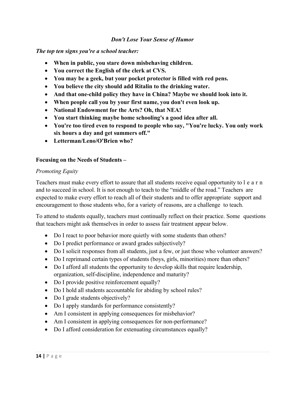#### *Don't Lose Your Sense of Humor*

*The top ten signs you're a school teacher:* 

- **When in public, you stare down misbehaving children.**
- **You correct the English of the clerk at CVS.**
- **You may be a geek, but your pocket protector is filled with red pens.**
- **You believe the city should add Ritalin to the drinking water.**
- **And that one-child policy they have in China? Maybe we should look into it.**
- **When people call you by your first name, you don't even look up.**
- **National Endowment for the Arts? Oh, that NEA!**
- **You start thinking maybe home schooling's a good idea after all.**
- **You're too tired even to respond to people who say, "You're lucky. You only work six hours a day and get summers off."**
- **Letterman/Leno/O'Brien who?**

#### **Focusing on the Needs of Students –**

#### *Promoting Equity*

Teachers must make every effort to assure that all students receive equal opportunity to l e a r n and to succeed in school. It is not enough to teach to the "middle of the road." Teachers are expected to make every effort to reach all of their students and to offer appropriate support and encouragement to those students who, for a variety of reasons, are a challenge to teach.

To attend to students equally, teachers must continually reflect on their practice. Some questions that teachers might ask themselves in order to assess fair treatment appear below.

- Do I react to poor behavior more quietly with some students than others?
- Do I predict performance or award grades subjectively?
- Do I solicit responses from all students, just a few, or just those who volunteer answers?
- Do I reprimand certain types of students (boys, girls, minorities) more than others?
- Do I afford all students the opportunity to develop skills that require leadership, organization, self-discipline, independence and maturity?
- Do I provide positive reinforcement equally?
- Do I hold all students accountable for abiding by school rules?
- Do I grade students objectively?
- Do I apply standards for performance consistently?
- Am I consistent in applying consequences for misbehavior?
- Am I consistent in applying consequences for non-performance?
- Do I afford consideration for extenuating circumstances equally?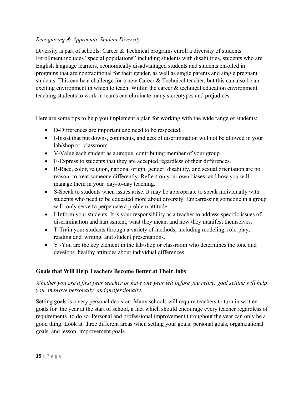# *Recognizing & Appreciate Student Diversity*

Diversity is part of schools. Career & Technical programs enroll a diversity of students. Enrollment includes "special populations" including students with disabilities, students who are English language learners, economically disadvantaged students and students enrolled in programs that are nontraditional for their gender, as well as single parents and single pregnant students. This can be a challenge for a new Career & Technical teacher, but this can also be an exciting environment in which to teach. Within the career & technical education environment teaching students to work in teams can eliminate many stereotypes and prejudices.

Here are some tips to help you implement a plan for working with the wide range of students:

- D-Differences are important and need to be respected.
- I-Insist that put downs, comments, and acts of discrimination will not be allowed in your lab/shop or classroom.
- V-Value each student as a unique, contributing member of your group.
- E-Express to students that they are accepted regardless of their differences.
- R-Race, color, religion, national origin, gender, disability, and sexual orientation are no reason to treat someone differently. Reflect on your own biases, and how you will manage them in your day-to-day teaching.
- S-Speak to students when issues arise. It may be appropriate to speak individually with students who need to be educated more about diversity. Embarrassing someone in a group will only serve to perpetuate a problem attitude.
- I-Inform your students. It is your responsibility as a teacher to address specific issues of discrimination and harassment, what they mean, and how they manifest themselves.
- T-Train your students through a variety of methods, including modeling, role-play, reading and writing, and student presentations.
- Y -You are the key element in the lab/shop or classroom who determines the tone and develops healthy attitudes about individual differences.

# **Goals that Will Help Teachers Become Better at Their Jobs**

# *Whether you are a first year teacher or have one year left before you retire, goal setting will help you improve personally, and professionally.*

Setting goals is a very personal decision. Many schools will require teachers to turn in written goals for the year at the start of school, a fact which should encourage every teacher regardless of requirements to do so. Personal and professional improvement throughout the year can only be a good thing. Look at three different areas when setting your goals: personal goals, organizational goals, and lesson improvement goals.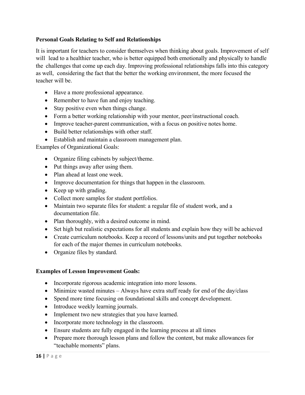# **Personal Goals Relating to Self and Relationships**

It is important for teachers to consider themselves when thinking about goals. Improvement of self will lead to a healthier teacher, who is better equipped both emotionally and physically to handle the challenges that come up each day. Improving professional relationships falls into this category as well, considering the fact that the better the working environment, the more focused the teacher will be.

- Have a more professional appearance.
- Remember to have fun and enjoy teaching.
- Stay positive even when things change.
- Form a better working relationship with your mentor, peer/instructional coach.
- Improve teacher-parent communication, with a focus on positive notes home.
- Build better relationships with other staff.
- Establish and maintain a classroom management plan.

Examples of Organizational Goals:

- Organize filing cabinets by subject/theme.
- Put things away after using them.
- Plan ahead at least one week.
- Improve documentation for things that happen in the classroom.
- Keep up with grading.
- Collect more samples for student portfolios.
- Maintain two separate files for student: a regular file of student work, and a documentation file.
- Plan thoroughly, with a desired outcome in mind.
- Set high but realistic expectations for all students and explain how they will be achieved
- Create curriculum notebooks. Keep a record of lessons/units and put together notebooks for each of the major themes in curriculum notebooks.
- Organize files by standard.

#### **Examples of Lesson Improvement Goals:**

- Incorporate rigorous academic integration into more lessons.
- Minimize wasted minutes Always have extra stuff ready for end of the day/class
- Spend more time focusing on foundational skills and concept development.
- Introduce weekly learning journals.
- Implement two new strategies that you have learned.
- Incorporate more technology in the classroom.
- Ensure students are fully engaged in the learning process at all times
- Prepare more thorough lesson plans and follow the content, but make allowances for "teachable moments" plans.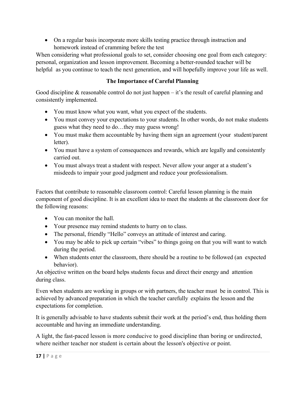On a regular basis incorporate more skills testing practice through instruction and homework instead of cramming before the test

When considering what professional goals to set, consider choosing one goal from each category: personal, organization and lesson improvement. Becoming a better-rounded teacher will be helpful as you continue to teach the next generation, and will hopefully improve your life as well.

# **The Importance of Careful Planning**

Good discipline  $\&$  reasonable control do not just happen – it's the result of careful planning and consistently implemented.

- You must know what you want, what you expect of the students.
- You must convey your expectations to your students. In other words, do not make students guess what they need to do…they may guess wrong!
- You must make them accountable by having them sign an agreement (your student/parent letter).
- You must have a system of consequences and rewards, which are legally and consistently carried out.
- You must always treat a student with respect. Never allow your anger at a student's misdeeds to impair your good judgment and reduce your professionalism.

Factors that contribute to reasonable classroom control: Careful lesson planning is the main component of good discipline. It is an excellent idea to meet the students at the classroom door for the following reasons:

- You can monitor the hall.
- Your presence may remind students to hurry on to class.
- The personal, friendly "Hello" conveys an attitude of interest and caring.
- You may be able to pick up certain "vibes" to things going on that you will want to watch during the period.
- When students enter the classroom, there should be a routine to be followed (an expected behavior).

An objective written on the board helps students focus and direct their energy and attention during class.

Even when students are working in groups or with partners, the teacher must be in control. This is achieved by advanced preparation in which the teacher carefully explains the lesson and the expectations for completion.

It is generally advisable to have students submit their work at the period's end, thus holding them accountable and having an immediate understanding.

A light, the fast-paced lesson is more conducive to good discipline than boring or undirected, where neither teacher nor student is certain about the lesson's objective or point.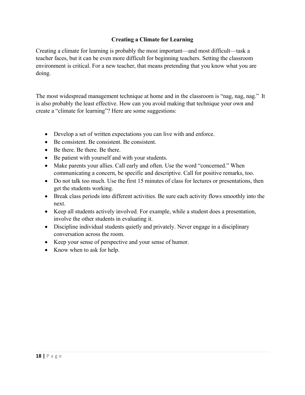# **Creating a Climate for Learning**

Creating a climate for learning is probably the most important—and most difficult—task a teacher faces, but it can be even more difficult for beginning teachers. Setting the classroom environment is critical. For a new teacher, that means pretending that you know what you are doing.

The most widespread management technique at home and in the classroom is "nag, nag, nag." It is also probably the least effective. How can you avoid making that technique your own and create a "climate for learning"? Here are some suggestions:

- Develop a set of written expectations you can live with and enforce.
- Be consistent. Be consistent. Be consistent.
- Be there. Be there. Be there.
- Be patient with yourself and with your students.
- Make parents your allies. Call early and often. Use the word "concerned." When communicating a concern, be specific and descriptive. Call for positive remarks, too.
- Do not talk too much. Use the first 15 minutes of class for lectures or presentations, then get the students working.
- Break class periods into different activities. Be sure each activity flows smoothly into the next.
- Keep all students actively involved. For example, while a student does a presentation, involve the other students in evaluating it.
- Discipline individual students quietly and privately. Never engage in a disciplinary conversation across the room.
- Keep your sense of perspective and your sense of humor.
- Know when to ask for help.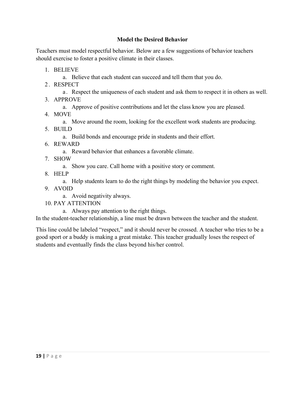# **Model the Desired Behavior**

Teachers must model respectful behavior. Below are a few suggestions of behavior teachers should exercise to foster a positive climate in their classes.

- 1. BELIEVE
	- a. Believe that each student can succeed and tell them that you do.
- 2. RESPECT
	- a . Respect the uniqueness of each student and ask them to respect it in others as well.
- 3. APPROVE
	- a. Approve of positive contributions and let the class know you are pleased.
- 4. MOVE
	- a. Move around the room, looking for the excellent work students are producing.
- 5. BUILD
	- a. Build bonds and encourage pride in students and their effort.
- 6. REWARD
	- a. Reward behavior that enhances a favorable climate.
- 7. SHOW
	- a. Show you care. Call home with a positive story or comment.
- 8. HELP
	- a. Help students learn to do the right things by modeling the behavior you expect.
- 9. AVOID
	- a. Avoid negativity always.
- 10. PAY ATTENTION
	- a. Always pay attention to the right things.

In the student-teacher relationship, a line must be drawn between the teacher and the student.

This line could be labeled "respect," and it should never be crossed. A teacher who tries to be a good sport or a buddy is making a great mistake. This teacher gradually loses the respect of students and eventually finds the class beyond his/her control.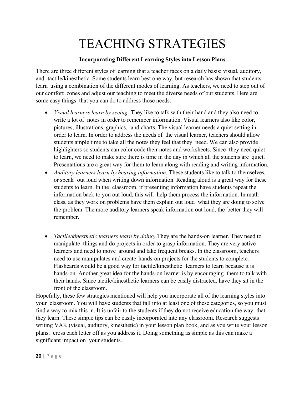# TEACHING STRATEGIES

### **Incorporating Different Learning Styles into Lesson Plans**

There are three different styles of learning that a teacher faces on a daily basis: visual, auditory, and tactile/kinesthetic. Some students learn best one way, but research has shown that students learn using a combination of the different modes of learning. As teachers, we need to step out of our comfort zones and adjust our teaching to meet the diverse needs of our students. Here are some easy things that you can do to address those needs.

- *Visual learners learn by seeing.* They like to talk with their hand and they also need to write a lot of notes in order to remember information. Visual learners also like color, pictures, illustrations, graphics, and charts. The visual learner needs a quiet setting in order to learn. In order to address the needs of the visual learner, teachers should allow students ample time to take all the notes they feel that they need. We can also provide highlighters so students can color code their notes and worksheets. Since they need quiet to learn, we need to make sure there is time in the day in which all the students are quiet. Presentations are a great way for them to learn along with reading and writing information.
- *Auditory learners learn by hearing information*. These students like to talk to themselves, or speak out loud when writing down information. Reading aloud is a great way for these students to learn. In the classroom, if presenting information have students repeat the information back to you out loud, this will help them process the information. In math class, as they work on problems have them explain out loud what they are doing to solve the problem. The more auditory learners speak information out loud, the better they will remember.
- *Tactile/kinesthetic learners learn by doing*. They are the hands-on learner. They need to manipulate things and do projects in order to grasp information. They are very active learners and need to move around and take frequent breaks. In the classroom, teachers need to use manipulates and create hands-on projects for the students to complete. Flashcards would be a good way for tactile/kinesthetic learners to learn because it is hands-on. Another great idea for the hands-on learner is by encouraging them to talk with their hands. Since tactile/kinesthetic learners can be easily distracted, have they sit in the front of the classroom.

Hopefully, these few strategies mentioned will help you incorporate all of the learning styles into your classroom. You will have students that fall into at least one of these categories, so you must find a way to mix this in. It is unfair to the students if they do not receive education the way that they learn. These simple tips can be easily incorporated into any classroom. Research suggests writing VAK (visual, auditory, kinesthetic) in your lesson plan book, and as you write your lesson plans, cross each letter off as you address it. Doing something as simple as this can make a significant impact on your students.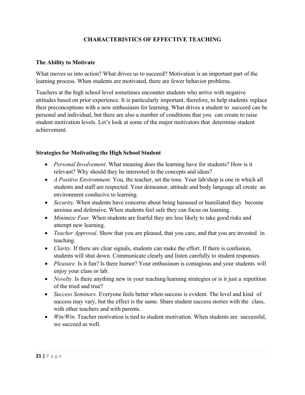# **CHARACTERISTICS OF EFFECTIVE TEACHING**

#### **The Ability to Motivate**

What moves us into action? What drives us to succeed? Motivation is an important part of the learning process. When students are motivated, there are fewer behavior problems.

Teachers at the high school level sometimes encounter students who arrive with negative attitudes based on prior experience. It is particularly important, therefore, to help students replace their preconceptions with a new enthusiasm for learning. What drives a student to succeed can be personal and individual, but there are also a number of conditions that you can create to raise student motivation levels. Let's look at some of the major motivators that determine student achievement.

#### **Strategies for Motivating the High School Student**

- *Personal Involvement.* What meaning does the learning have for students? How is it relevant? Why should they be interested in the concepts and ideas?
- *A Positive Environment.* You, the teacher, set the tone. Your lab/shop is one in which all students and staff are respected. Your demeanor, attitude and body language all create an environment conducive to learning.
- *Security*. When students have concerns about being harassed or humiliated they become anxious and defensive. When students feel safe they can focus on learning.
- *Minimize Fear.* When students are fearful they are less likely to take good risks and attempt new learning.
- *Teacher Approval.* Show that you are pleased, that you care, and that you are invested in teaching.
- *Clarity.* If there are clear signals, students can make the effort. If there is confusion, students will shut down. Communicate clearly and listen carefully to student responses.
- *Pleasure.* Is it fun? Is there humor? Your enthusiasm is contagious and your students will enjoy your class or lab.
- *Novelty*. Is there anything new in your teaching/learning strategies or is it just a repetition of the tried and true?
- *Success Seminars.* Everyone feels better when success is evident. The level and kind of success may vary, but the effect is the same. Share student success stories with the class, with other teachers and with parents.
- *Win/Win.* Teacher motivation is tied to student motivation. When students are successful, we succeed as well.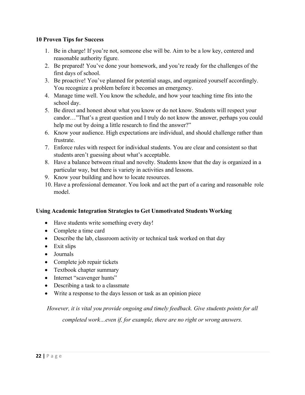#### **10 Proven Tips for Success**

- 1. Be in charge! If you're not, someone else will be. Aim to be a low key, centered and reasonable authority figure.
- 2. Be prepared! You've done your homework, and you're ready for the challenges of the first days of school.
- 3. Be proactive! You've planned for potential snags, and organized yourself accordingly. You recognize a problem before it becomes an emergency.
- 4. Manage time well. You know the schedule, and how your teaching time fits into the school day.
- 5. Be direct and honest about what you know or do not know. Students will respect your candor…"That's a great question and I truly do not know the answer, perhaps you could help me out by doing a little research to find the answer?"
- 6. Know your audience. High expectations are individual, and should challenge rather than frustrate.
- 7. Enforce rules with respect for individual students. You are clear and consistent so that students aren't guessing about what's acceptable.
- 8. Have a balance between ritual and novelty. Students know that the day is organized in a particular way, but there is variety in activities and lessons.
- 9. Know your building and how to locate resources.
- 10. Have a professional demeanor. You look and act the part of a caring and reasonable role model.

# **Using Academic Integration Strategies to Get Unmotivated Students Working**

- Have students write something every day!
- Complete a time card
- Describe the lab, classroom activity or technical task worked on that day
- Exit slips
- Journals
- Complete job repair tickets
- Textbook chapter summary
- Internet "scavenger hunts"
- Describing a task to a classmate
- Write a response to the days lesson or task as an opinion piece

*However, it is vital you provide ongoing and timely feedback. Give students points for all completed work…even if, for example, there are no right or wrong answers.*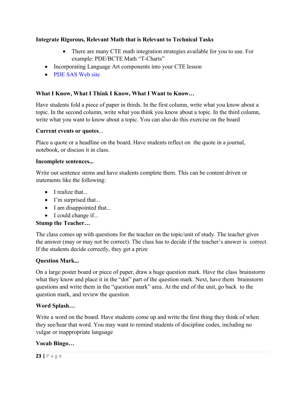#### **Integrate Rigorous, Relevant Math that is Relevant to Technical Tasks**

- There are many CTE math integration strategies available for you to use. For example: PDE/BCTE Math "T-Charts"
- Incorporating Language Art components into your CTE lesson
- PDE SAS Web site

# **What I Know, What I Think I Know, What I Want to Know…**

Have students fold a piece of paper in thirds. In the first column, write what you know about a topic. In the second column, write what you think you know about a topic. In the third column, write what you want to know about a topic. You can also do this exercise on the board

#### **Current events or quotes**...

Place a quote or a headline on the board. Have students reflect on the quote in a journal, notebook, or discuss it in class.

#### **Incomplete sentences...**

Write out sentence stems and have students complete them. This can be content driven or statements like the following:

- $\bullet$  I realize that...
- I'm surprised that...
- I am disappointed that...
- I could change if...

#### **Stump the Teacher…**

The class comes up with questions for the teacher on the topic/unit of study. The teacher gives the answer (may or may not be correct). The class has to decide if the teacher's answer is correct. If the students decide correctly, they get a prize

#### **Question Mark...**

On a large poster board or piece of paper, draw a huge question mark. Have the class brainstorm what they know and place it in the "dot" part of the question mark. Next, have them brainstorm questions and write them in the "question mark" area. At the end of the unit, go back to the question mark, and review the question

#### **Word Splash…**

Write a word on the board. Have students come up and write the first thing they think of when they see/hear that word. You may want to remind students of discipline codes, including no vulgar or inappropriate language

#### **Vocab Bingo…**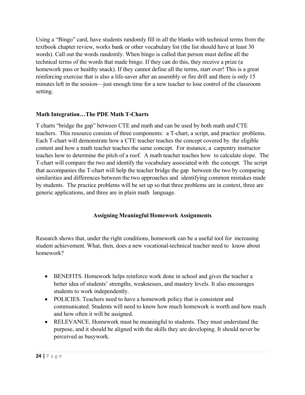Using a "Bingo" card, have students randomly fill in all the blanks with technical terms from the textbook chapter review, works bank or other vocabulary list (the list should have at least 30 words). Call out the words randomly. When bingo is called that person must define all the technical terms of the words that made bingo. If they can do this, they receive a prize (a homework pass or healthy snack). If they cannot define all the terms, start over! This is a great reinforcing exercise that is also a life-saver after an assembly or fire drill and there is only 15 minutes left in the session—just enough time for a new teacher to lose control of the classroom setting.

#### **Math Integration…The PDE Math T-Charts**

T charts "bridge the gap" between CTE and math and can be used by both math and CTE teachers. This resource consists of three components: a T-chart, a script, and practice problems. Each T-chart will demonstrate how a CTE teacher teaches the concept covered by the eligible content and how a math teacher teaches the same concept. For instance, a carpentry instructor teaches how to determine the pitch of a roof. A math teacher teaches how to calculate slope. The T-chart will compare the two and identify the vocabulary associated with the concept. The script that accompanies the T-chart will help the teacher bridge the gap between the two by comparing similarities and differences between the two approaches and identifying common mistakes made by students. The practice problems will be set up so that three problems are in context, three are generic applications, and three are in plain math language.

# **Assigning Meaningful Homework Assignments**

Research shows that, under the right conditions, homework can be a useful tool for increasing student achievement. What, then, does a new vocational-technical teacher need to know about homework?

- BENEFITS. Homework helps reinforce work done in school and gives the teacher a better idea of students' strengths, weaknesses, and mastery levels. It also encourages students to work independently.
- POLICIES. Teachers need to have a homework policy that is consistent and communicated. Students will need to know how much homework is worth and how much and how often it will be assigned.
- RELEVANCE. Homework must be meaningful to students. They must understand the purpose, and it should be aligned with the skills they are developing. It should never be perceived as busywork.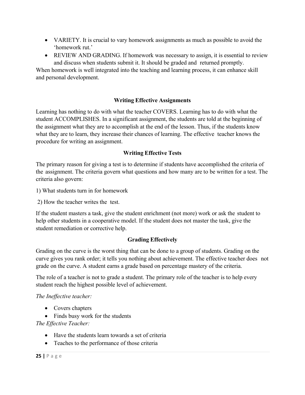- VARIETY. It is crucial to vary homework assignments as much as possible to avoid the 'homework rut.'
- REVIEW AND GRADING. If homework was necessary to assign, it is essential to review and discuss when students submit it. It should be graded and returned promptly.

When homework is well integrated into the teaching and learning process, it can enhance skill and personal development.

# **Writing Effective Assignments**

Learning has nothing to do with what the teacher COVERS. Learning has to do with what the student ACCOMPLISHES. In a significant assignment, the students are told at the beginning of the assignment what they are to accomplish at the end of the lesson. Thus, if the students know what they are to learn, they increase their chances of learning. The effective teacher knows the procedure for writing an assignment.

# **Writing Effective Tests**

The primary reason for giving a test is to determine if students have accomplished the criteria of the assignment. The criteria govern what questions and how many are to be written for a test. The criteria also govern:

1) What students turn in for homework

2) How the teacher writes the test.

If the student masters a task, give the student enrichment (not more) work or ask the student to help other students in a cooperative model. If the student does not master the task, give the student remediation or corrective help.

#### **Grading Effectively**

Grading on the curve is the worst thing that can be done to a group of students. Grading on the curve gives you rank order; it tells you nothing about achievement. The effective teacher does not grade on the curve. A student earns a grade based on percentage mastery of the criteria.

The role of a teacher is not to grade a student. The primary role of the teacher is to help every student reach the highest possible level of achievement.

*The Ineffective teacher:*

- Covers chapters
- Finds busy work for the students

*The Effective Teacher:* 

- Have the students learn towards a set of criteria
- Teaches to the performance of those criteria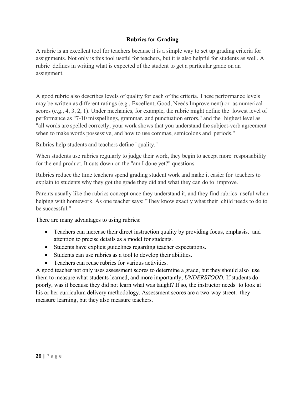# **Rubrics for Grading**

A rubric is an excellent tool for teachers because it is a simple way to set up grading criteria for assignments. Not only is this tool useful for teachers, but it is also helpful for students as well. A rubric defines in writing what is expected of the student to get a particular grade on an assignment.

A good rubric also describes levels of quality for each of the criteria. These performance levels may be written as different ratings (e.g., Excellent, Good, Needs Improvement) or as numerical scores (e.g., 4, 3, 2, 1). Under mechanics, for example, the rubric might define the lowest level of performance as "7-10 misspellings, grammar, and punctuation errors," and the highest level as "all words are spelled correctly; your work shows that you understand the subject-verb agreement when to make words possessive, and how to use commas, semicolons and periods."

Rubrics help students and teachers define "quality."

When students use rubrics regularly to judge their work, they begin to accept more responsibility for the end product. It cuts down on the "am I done yet?" questions.

Rubrics reduce the time teachers spend grading student work and make it easier for teachers to explain to students why they got the grade they did and what they can do to improve.

Parents usually like the rubrics concept once they understand it, and they find rubrics useful when helping with homework. As one teacher says: "They know exactly what their child needs to do to be successful."

There are many advantages to using rubrics:

- Teachers can increase their direct instruction quality by providing focus, emphasis, and attention to precise details as a model for students.
- Students have explicit guidelines regarding teacher expectations.
- Students can use rubrics as a tool to develop their abilities.
- Teachers can reuse rubrics for various activities.

A good teacher not only uses assessment scores to determine a grade, but they should also use them to measure what students learned, and more importantly, *UNDERSTOOD.* If students do poorly, was it because they did not learn what was taught? If so, the instructor needs to look at his or her curriculum delivery methodology. Assessment scores are a two-way street: they measure learning, but they also measure teachers.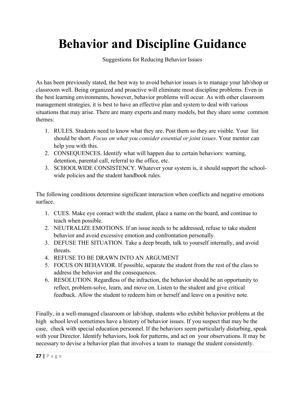# **Behavior and Discipline Guidance**

Suggestions for Reducing Behavior Issues

As has been previously stated, the best way to avoid behavior issues is to manage your lab/shop or classroom well. Being organized and proactive will eliminate most discipline problems. Even in the best learning environments, however, behavior problems will occur. As with other classroom management strategies, it is best to have an effective plan and system to deal with various situations that may arise. There are many experts and many models, but they share some common themes:

- 1. RULES. Students need to know what they are. Post them so they are visible. Your list should be short. *Focus on what you consider essential or joint issues*. Your mentor can help you with this.
- 2. CONSEQUENCES. Identify what will happen due to certain behaviors: warning, detention, parental call, referral to the office, etc.
- 3. SCHOOLWIDE CONSISTENCY. Whatever your system is, it should support the schoolwide policies and the student handbook rules.

The following conditions determine significant interaction when conflicts and negative emotions surface.

- 1. CUES. Make eye contact with the student, place a name on the board, and continue to teach when possible.
- 2. NEUTRALIZE EMOTIONS. If an issue needs to be addressed, refuse to take student behavior and avoid excessive emotion and confrontation personally.
- 3. DEFUSE THE SITUATION. Take a deep breath, talk to yourself internally, and avoid threats.
- 4. REFUSE TO BE DRAWN INTO AN ARGUMENT
- 5. FOCUS ON BEHAVIOR. If possible, separate the student from the rest of the class to address the behavior and the consequences.
- 6. RESOLUTION. Regardless of the infraction, the behavior should be an opportunity to reflect, problem-solve, learn, and move on. Listen to the student and give critical feedback. Allow the student to redeem him or herself and leave on a positive note.

Finally, in a well-managed classroom or lab/shop, students who exhibit behavior problems at the high school level sometimes have a history of behavior issues. If you suspect that may be the case, check with special education personnel. If the behaviors seem particularly disturbing, speak with your Director. Identify behaviors, look for patterns, and act on your observations. It may be necessary to devise a behavior plan that involves a team to manage the student consistently.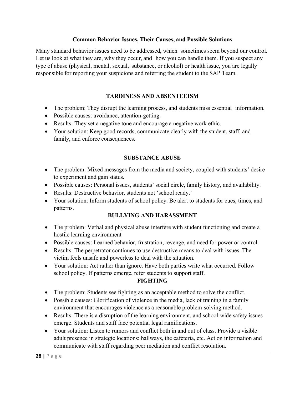#### **Common Behavior Issues, Their Causes, and Possible Solutions**

Many standard behavior issues need to be addressed, which sometimes seem beyond our control. Let us look at what they are, why they occur, and how you can handle them. If you suspect any type of abuse (physical, mental, sexual, substance, or alcohol) or health issue, you are legally responsible for reporting your suspicions and referring the student to the SAP Team.

# **TARDINESS AND ABSENTEEISM**

- The problem: They disrupt the learning process, and students miss essential information.
- Possible causes: avoidance, attention-getting.
- Results: They set a negative tone and encourage a negative work ethic.
- Your solution: Keep good records, communicate clearly with the student, staff, and family, and enforce consequences.

# **SUBSTANCE ABUSE**

- The problem: Mixed messages from the media and society, coupled with students' desire to experiment and gain status.
- Possible causes: Personal issues, students' social circle, family history, and availability.
- Results: Destructive behavior, students not 'school ready.'
- Your solution: Inform students of school policy. Be alert to students for cues, times, and patterns.

#### **BULLYING AND HARASSMENT**

- The problem: Verbal and physical abuse interfere with student functioning and create a hostile learning environment
- Possible causes: Learned behavior, frustration, revenge, and need for power or control.
- Results: The perpetrator continues to use destructive means to deal with issues. The victim feels unsafe and powerless to deal with the situation.
- Your solution: Act rather than ignore. Have both parties write what occurred. Follow school policy. If patterns emerge, refer students to support staff.

#### **FIGHTING**

- The problem: Students see fighting as an acceptable method to solve the conflict.
- Possible causes: Glorification of violence in the media, lack of training in a family environment that encourages violence as a reasonable problem-solving method.
- Results: There is a disruption of the learning environment, and school-wide safety issues emerge. Students and staff face potential legal ramifications.
- Your solution: Listen to rumors and conflict both in and out of class. Provide a visible adult presence in strategic locations: hallways, the cafeteria, etc. Act on information and communicate with staff regarding peer mediation and conflict resolution.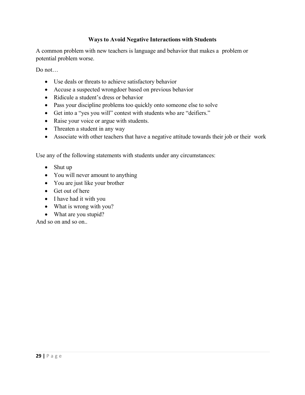#### **Ways to Avoid Negative Interactions with Students**

A common problem with new teachers is language and behavior that makes a problem or potential problem worse.

Do not…

- Use deals or threats to achieve satisfactory behavior
- Accuse a suspected wrongdoer based on previous behavior
- Ridicule a student's dress or behavior
- Pass your discipline problems too quickly onto someone else to solve
- Get into a "yes you will" contest with students who are "deifiers."
- Raise your voice or argue with students.
- Threaten a student in any way
- Associate with other teachers that have a negative attitude towards their job or their work

Use any of the following statements with students under any circumstances:

- Shut up
- You will never amount to anything
- You are just like your brother
- Get out of here
- I have had it with you
- What is wrong with you?
- What are you stupid?

And so on and so on..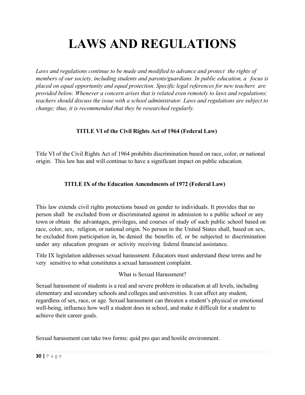# **LAWS AND REGULATIONS**

Laws and regulations continue to be made and modified to advance and protect the rights of *members of our society, including students and parents/guardians. In public education, a focus is placed on equal opportunity and equal protection. Specific legal references for new teachers are provided below. Whenever a concern arises that is related even remotely to laws and regulations; teachers should discuss the issue with a school administrator. Laws and regulations are subject to change; thus, it is recommended that they be researched regularly.* 

# **TITLE VI of the Civil Rights Act of 1964 (Federal Law)**

Title VI of the Civil Rights Act of 1964 prohibits discrimination based on race, color, or national origin. This law has and will continue to have a significant impact on public education.

# **TITLE IX of the Education Amendments of 1972 (Federal Law)**

This law extends civil rights protections based on gender to individuals. It provides that no person shall be excluded from or discriminated against in admission to a public school or any town or obtain the advantages, privileges, and courses of study of such public school based on race, color, sex, religion, or national origin. No person in the United States shall, based on sex, be excluded from participation in, be denied the benefits of, or be subjected to discrimination under any education program or activity receiving federal financial assistance.

Title IX legislation addresses sexual harassment. Educators must understand these terms and be very sensitive to what constitutes a sexual harassment complaint.

What is Sexual Harassment?

Sexual harassment of students is a real and severe problem in education at all levels, including elementary and secondary schools and colleges and universities. It can affect any student, regardless of sex, race, or age. Sexual harassment can threaten a student's physical or emotional well-being, influence how well a student does in school, and make it difficult for a student to achieve their career goals.

Sexual harassment can take two forms: quid pro quo and hostile environment.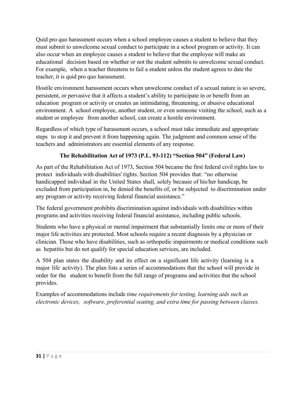Quid pro quo harassment occurs when a school employee causes a student to believe that they must submit to unwelcome sexual conduct to participate in a school program or activity. It can also occur when an employee causes a student to believe that the employee will make an educational decision based on whether or not the student submits to unwelcome sexual conduct. For example, when a teacher threatens to fail a student unless the student agrees to date the teacher, it is quid pro quo harassment.

Hostile environment harassment occurs when unwelcome conduct of a sexual nature is so severe, persistent, or pervasive that it affects a student's ability to participate in or benefit from an education program or activity or creates an intimidating, threatening, or abusive educational environment. A school employee, another student, or even someone visiting the school, such as a student or employee from another school, can create a hostile environment.

Regardless of which type of harassment occurs, a school must take immediate and appropriate steps to stop it and prevent it from happening again. The judgment and common sense of the teachers and administrators are essential elements of any response.

# **The Rehabilitation Act of 1973 (P.L. 93-112) "Section 504" (Federal Law)**

As part of the Rehabilitation Act of 1973, Section 504 became the first federal civil rights law to protect individuals with disabilities' rights. Section 504 provides that: "no otherwise handicapped individual in the United States shall, solely because of his/her handicap, be excluded from participation in, be denied the benefits of, or be subjected to discrimination under any program or activity receiving federal financial assistance."

The federal government prohibits discrimination against individuals with disabilities within programs and activities receiving federal financial assistance, including public schools.

Students who have a physical or mental impairment that substantially limits one or more of their major life activities are protected. Most schools require a recent diagnosis by a physician or clinician. Those who have disabilities, such as orthopedic impairments or medical conditions such as hepatitis but do not qualify for special education services, are included.

A 504 plan states the disability and its effect on a significant life activity (learning is a major life activity). The plan lists a series of accommodations that the school will provide in order for the student to benefit from the full range of programs and activities that the school provides.

Examples of accommodations include *time requirements for testing, learning aids such as electronic devices, software, preferential seating, and extra time for passing between classes.*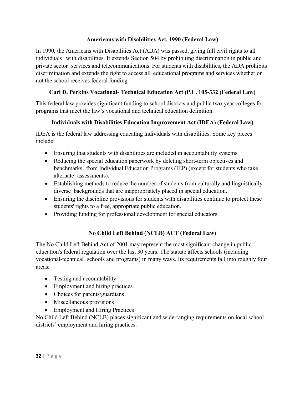### **Americans with Disabilities Act, 1990 (Federal Law)**

In 1990, the Americans with Disabilities Act (ADA) was passed, giving full civil rights to all individuals with disabilities. It extends Section 504 by prohibiting discrimination in public and private sector services and telecommunications. For students with disabilities, the ADA prohibits discrimination and extends the right to access all educational programs and services whether or not the school receives federal funding.

# **Carl D. Perkins Vocational- Technical Education Act (P.L. 105-332 (Federal Law)**

This federal law provides significant funding to school districts and public two-year colleges for programs that meet the law's vocational and technical education definition.

# **Individuals with Disabilities Education Improvement Act (IDEA) (Federal Law)**

IDEA is the federal law addressing educating individuals with disabilities. Some key pieces include:

- Ensuring that students with disabilities are included in accountability systems.
- Reducing the special education paperwork by deleting short-term objectives and benchmarks from Individual Education Programs (IEP) (except for students who take alternate assessments).
- Establishing methods to reduce the number of students from culturally and linguistically diverse backgrounds that are inappropriately placed in special education.
- Ensuring the discipline provisions for students with disabilities continue to protect these students' rights to a free, appropriate public education.
- Providing funding for professional development for special educators.

# **No Child Left Behind (NCLB) ACT (Federal Law)**

The No Child Left Behind Act of 2001 may represent the most significant change in public education's federal regulation over the last 30 years. The statute affects schools (including vocational-technical schools and programs) in many ways. Its requirements fall into roughly four areas:

- Testing and accountability
- Employment and hiring practices
- Choices for parents/guardians
- Miscellaneous provisions
- Employment and Hiring Practices

No Child Left Behind (NCLB) places significant and wide-ranging requirements on local school districts' employment and hiring practices.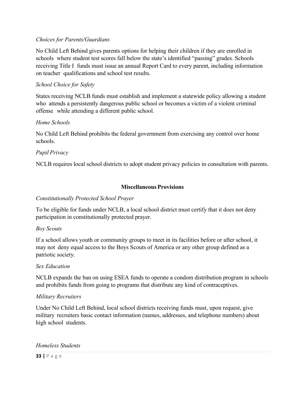#### *Choices for Parents/Guardians*

No Child Left Behind gives parents options for helping their children if they are enrolled in schools where student test scores fall below the state's identified "passing" grades. Schools receiving Title I funds must issue an annual Report Card to every parent, including information on teacher qualifications and school test results.

#### *School Choice for Safety*

States receiving NCLB funds must establish and implement a statewide policy allowing a student who attends a persistently dangerous public school or becomes a victim of a violent criminal offense while attending a different public school.

#### *Home Schools*

No Child Left Behind prohibits the federal government from exercising any control over home schools.

#### *Pupil Privacy*

NCLB requires local school districts to adopt student privacy policies in consultation with parents.

#### **Miscellaneous Provisions**

#### *Constitutionally Protected School Prayer*

To be eligible for funds under NCLB, a local school district must certify that it does not deny participation in constitutionally protected prayer.

#### *Boy Scouts*

If a school allows youth or community groups to meet in its facilities before or after school, it may not deny equal access to the Boys Scouts of America or any other group defined as a patriotic society.

#### *Sex Education*

NCLB expands the ban on using ESEA funds to operate a condom distribution program in schools and prohibits funds from going to programs that distribute any kind of contraceptives.

#### *Military Recruiters*

Under No Child Left Behind, local school districts receiving funds must, upon request, give military recruiters basic contact information (names, addresses, and telephone numbers) about high school students.

#### *Homeless Students*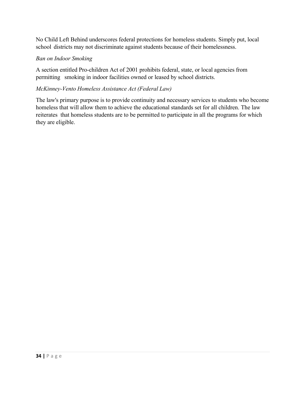No Child Left Behind underscores federal protections for homeless students. Simply put, local school districts may not discriminate against students because of their homelessness.

# *Ban on Indoor Smoking*

A section entitled Pro-children Act of 2001 prohibits federal, state, or local agencies from permitting smoking in indoor facilities owned or leased by school districts.

# *McKinney-Vento Homeless Assistance Act (Federal Law)*

The law's primary purpose is to provide continuity and necessary services to students who become homeless that will allow them to achieve the educational standards set for all children. The law reiterates that homeless students are to be permitted to participate in all the programs for which they are eligible.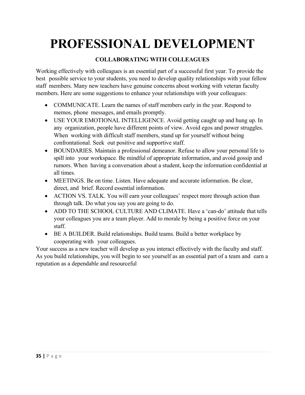# **PROFESSIONAL DEVELOPMENT**

# **COLLABORATING WITH COLLEAGUES**

Working effectively with colleagues is an essential part of a successful first year. To provide the best possible service to your students, you need to develop quality relationships with your fellow staff members. Many new teachers have genuine concerns about working with veteran faculty members. Here are some suggestions to enhance your relationships with your colleagues:

- COMMUNICATE. Learn the names of staff members early in the year. Respond to memos, phone messages, and emails promptly.
- USE YOUR EMOTIONAL INTELLIGENCE. Avoid getting caught up and hung up. In any organization, people have different points of view. Avoid egos and power struggles. When working with difficult staff members, stand up for yourself without being confrontational. Seek out positive and supportive staff.
- BOUNDARIES. Maintain a professional demeanor. Refuse to allow your personal life to spill into your workspace. Be mindful of appropriate information, and avoid gossip and rumors. When having a conversation about a student, keep the information confidential at all times.
- MEETINGS. Be on time. Listen. Have adequate and accurate information. Be clear, direct, and brief. Record essential information.
- ACTION VS. TALK. You will earn your colleagues' respect more through action than through talk. Do what you say you are going to do.
- ADD TO THE SCHOOL CULTURE AND CLIMATE. Have a 'can-do' attitude that tells your colleagues you are a team player. Add to morale by being a positive force on your staff.
- BE A BUILDER. Build relationships. Build teams. Build a better workplace by cooperating with your colleagues.

Your success as a new teacher will develop as you interact effectively with the faculty and staff. As you build relationships, you will begin to see yourself as an essential part of a team and earn a reputation as a dependable and resourceful